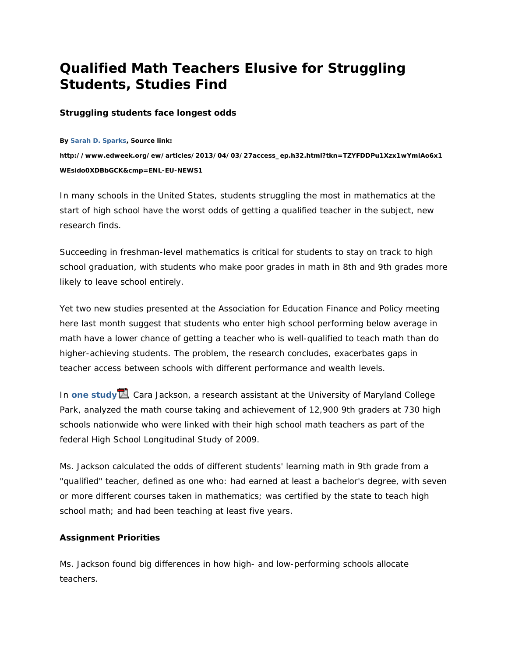## **Qualified Math Teachers Elusive for Struggling Students, Studies Find**

## **Struggling students face longest odds**

**By Sarah D. Sparks, Source link:** 

**http://www.edweek.org/ew/articles/2013/04/03/27access\_ep.h32.html?tkn=TZYFDDPu1Xzx1wYmlAo6x1 WEsido0XDBbGCK&cmp=ENL-EU-NEWS1** 

In many schools in the United States, students struggling the most in mathematics at the start of high school have the worst odds of getting a qualified teacher in the subject, new research finds.

Succeeding in freshman-level mathematics is critical for students to stay on track to high school graduation, with students who make poor grades in math in 8th and 9th grades more likely to leave school entirely.

Yet two new studies presented at the Association for Education Finance and Policy meeting here last month suggest that students who enter high school performing below average in math have a lower chance of getting a teacher who is well-qualified to teach math than do higher-achieving students. The problem, the research concludes, exacerbates gaps in teacher access between schools with different performance and wealth levels.

In **one study ...** Cara Jackson, a research assistant at the University of Maryland College Park, analyzed the math course taking and achievement of 12,900 9th graders at 730 high schools nationwide who were linked with their high school math teachers as part of the federal High School Longitudinal Study of 2009.

Ms. Jackson calculated the odds of different students' learning math in 9th grade from a "qualified" teacher, defined as one who: had earned at least a bachelor's degree, with seven or more different courses taken in mathematics; was certified by the state to teach high school math; and had been teaching at least five years.

## **Assignment Priorities**

Ms. Jackson found big differences in how high- and low-performing schools allocate teachers.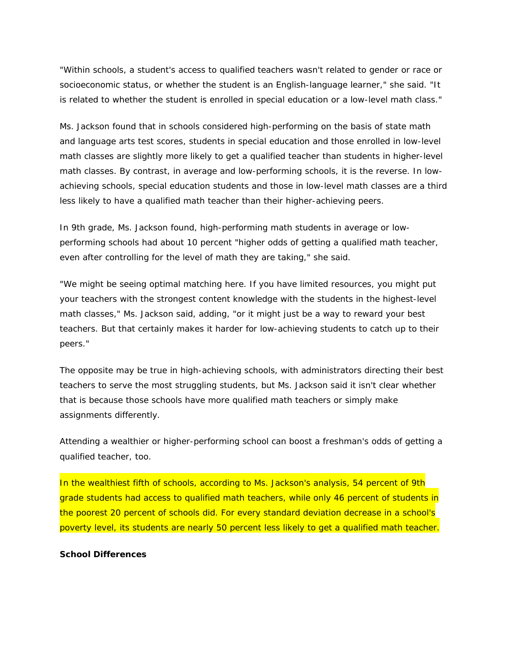"Within schools, a student's access to qualified teachers wasn't related to gender or race or socioeconomic status, or whether the student is an English-language learner," she said. "It is related to whether the student is enrolled in special education or a low-level math class."

Ms. Jackson found that in schools considered high-performing on the basis of state math and language arts test scores, students in special education and those enrolled in low-level math classes are slightly more likely to get a qualified teacher than students in higher-level math classes. By contrast, in average and low-performing schools, it is the reverse. In lowachieving schools, special education students and those in low-level math classes are a third less likely to have a qualified math teacher than their higher-achieving peers.

In 9th grade, Ms. Jackson found, high-performing math students in average or lowperforming schools had about 10 percent "higher odds of getting a qualified math teacher, even after controlling for the level of math they are taking," she said.

"We might be seeing optimal matching here. If you have limited resources, you might put your teachers with the strongest content knowledge with the students in the highest-level math classes," Ms. Jackson said, adding, "or it might just be a way to reward your best teachers. But that certainly makes it harder for low-achieving students to catch up to their peers."

The opposite may be true in high-achieving schools, with administrators directing their best teachers to serve the most struggling students, but Ms. Jackson said it isn't clear whether that is because those schools have more qualified math teachers or simply make assignments differently.

Attending a wealthier or higher-performing school can boost a freshman's odds of getting a qualified teacher, too.

In the wealthiest fifth of schools, according to Ms. Jackson's analysis, 54 percent of 9th grade students had access to qualified math teachers, while only 46 percent of students in the poorest 20 percent of schools did. For every standard deviation decrease in a school's poverty level, its students are nearly 50 percent less likely to get a qualified math teacher.

## **School Differences**